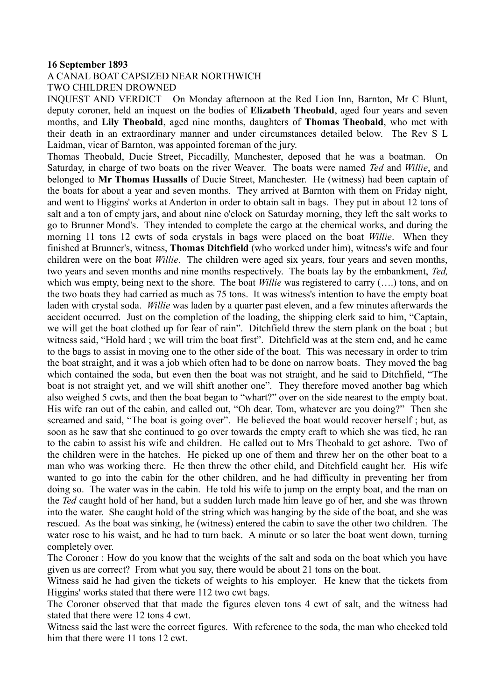## **16 September 1893**

## A CANAL BOAT CAPSIZED NEAR NORTHWICH

TWO CHILDREN DROWNED

INQUEST AND VERDICT On Monday afternoon at the Red Lion Inn, Barnton, Mr C Blunt, deputy coroner, held an inquest on the bodies of **Elizabeth Theobald**, aged four years and seven months, and **Lily Theobald**, aged nine months, daughters of **Thomas Theobald**, who met with their death in an extraordinary manner and under circumstances detailed below. The Rev S L Laidman, vicar of Barnton, was appointed foreman of the jury.

Thomas Theobald, Ducie Street, Piccadilly, Manchester, deposed that he was a boatman. On Saturday, in charge of two boats on the river Weaver. The boats were named *Ted* and *Willie*, and belonged to **Mr Thomas Hassalls** of Ducie Street, Manchester. He (witness) had been captain of the boats for about a year and seven months. They arrived at Barnton with them on Friday night, and went to Higgins' works at Anderton in order to obtain salt in bags. They put in about 12 tons of salt and a ton of empty jars, and about nine o'clock on Saturday morning, they left the salt works to go to Brunner Mond's. They intended to complete the cargo at the chemical works, and during the morning 11 tons 12 cwts of soda crystals in bags were placed on the boat *Willie*. When they finished at Brunner's, witness, **Thomas Ditchfield** (who worked under him), witness's wife and four children were on the boat *Willie*. The children were aged six years, four years and seven months, two years and seven months and nine months respectively. The boats lay by the embankment, *Ted,* which was empty, being next to the shore. The boat *Willie* was registered to carry (...) tons, and on the two boats they had carried as much as 75 tons. It was witness's intention to have the empty boat laden with crystal soda. *Willie* was laden by a quarter past eleven, and a few minutes afterwards the accident occurred. Just on the completion of the loading, the shipping clerk said to him, "Captain, we will get the boat clothed up for fear of rain". Ditchfield threw the stern plank on the boat ; but witness said, "Hold hard ; we will trim the boat first". Ditchfield was at the stern end, and he came to the bags to assist in moving one to the other side of the boat. This was necessary in order to trim the boat straight, and it was a job which often had to be done on narrow boats. They moved the bag which contained the soda, but even then the boat was not straight, and he said to Ditchfield, "The boat is not straight yet, and we will shift another one". They therefore moved another bag which also weighed 5 cwts, and then the boat began to "whart?" over on the side nearest to the empty boat. His wife ran out of the cabin, and called out, "Oh dear, Tom, whatever are you doing?" Then she screamed and said, "The boat is going over". He believed the boat would recover herself ; but, as soon as he saw that she continued to go over towards the empty craft to which she was tied, he ran to the cabin to assist his wife and children. He called out to Mrs Theobald to get ashore. Two of the children were in the hatches. He picked up one of them and threw her on the other boat to a man who was working there. He then threw the other child, and Ditchfield caught her. His wife wanted to go into the cabin for the other children, and he had difficulty in preventing her from doing so. The water was in the cabin. He told his wife to jump on the empty boat, and the man on the *Ted* caught hold of her hand, but a sudden lurch made him leave go of her, and she was thrown into the water. She caught hold of the string which was hanging by the side of the boat, and she was rescued. As the boat was sinking, he (witness) entered the cabin to save the other two children. The water rose to his waist, and he had to turn back. A minute or so later the boat went down, turning completely over.

The Coroner : How do you know that the weights of the salt and soda on the boat which you have given us are correct? From what you say, there would be about 21 tons on the boat.

Witness said he had given the tickets of weights to his employer. He knew that the tickets from Higgins' works stated that there were 112 two cwt bags.

The Coroner observed that that made the figures eleven tons 4 cwt of salt, and the witness had stated that there were 12 tons 4 cwt.

Witness said the last were the correct figures. With reference to the soda, the man who checked told him that there were 11 tons 12 cwt.